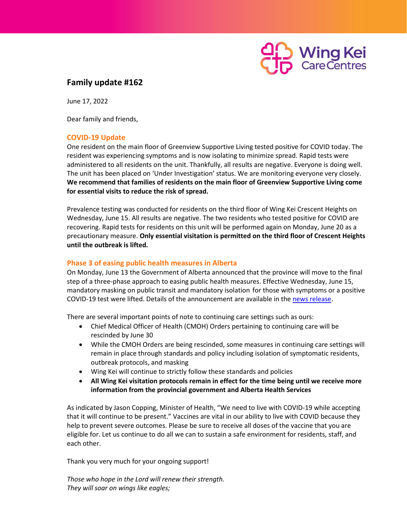

## **Family update #162**

June 17, 2022

Dear family and friends,

## **COVID-19 Update**

One resident on the main floor of Greenview Supportive Living tested positive for COVID today. The resident was experiencing symptoms and is now isolating to minimize spread. Rapid tests were administered to all residents on the unit. Thankfully, all results are negative. Everyone is doing well. The unit has been placed on 'Under Investigation' status. We are monitoring everyone very closely. **We recommend that families of residents on the main floor of Greenview Supportive Living come for essential visits to reduce the risk of spread.**

Prevalence testing was conducted for residents on the third floor of Wing Kei Crescent Heights on Wednesday, June 15. All results are negative. The two residents who tested positive for COVID are recovering. Rapid tests for residents on this unit will be performed again on Monday, June 20 as a precautionary measure. **Only essential visitation is permitted on the third floor of Crescent Heights until the outbreak is lifted.**

## **Phase 3 of easing public health measures in Alberta**

On Monday, June 13 the Government of Alberta announced that the province will move to the final step of a three-phase approach to easing public health measures. Effective Wednesday, June 15, mandatory masking on public transit and mandatory isolation for those with symptoms or a positive COVID-19 test were lifted. Details of the announcement are available in the [news release.](https://www.alberta.ca/release.cfm?xID=83071B896298F-E65E-B3B8-D14840FE40EFDC1F)

There are several important points of note to continuing care settings such as ours:

- Chief Medical Officer of Health (CMOH) Orders pertaining to continuing care will be rescinded by June 30
- While the CMOH Orders are being rescinded, some measures in continuing care settings will remain in place through standards and policy including isolation of symptomatic residents, outbreak protocols, and masking
- Wing Kei will continue to strictly follow these standards and policies
- **All Wing Kei visitation protocols remain in effect for the time being until we receive more information from the provincial government and Alberta Health Services**

As indicated by Jason Copping, Minister of Health, "We need to live with COVID-19 while accepting that it will continue to be present." Vaccines are vital in our ability to live with COVID because they help to prevent severe outcomes. Please be sure to receive all doses of the vaccine that you are eligible for. Let us continue to do all we can to sustain a safe environment for residents, staff, and each other.

Thank you very much for your ongoing support!

*Those who hope in the Lord will renew their strength. They will soar on wings like eagles;*